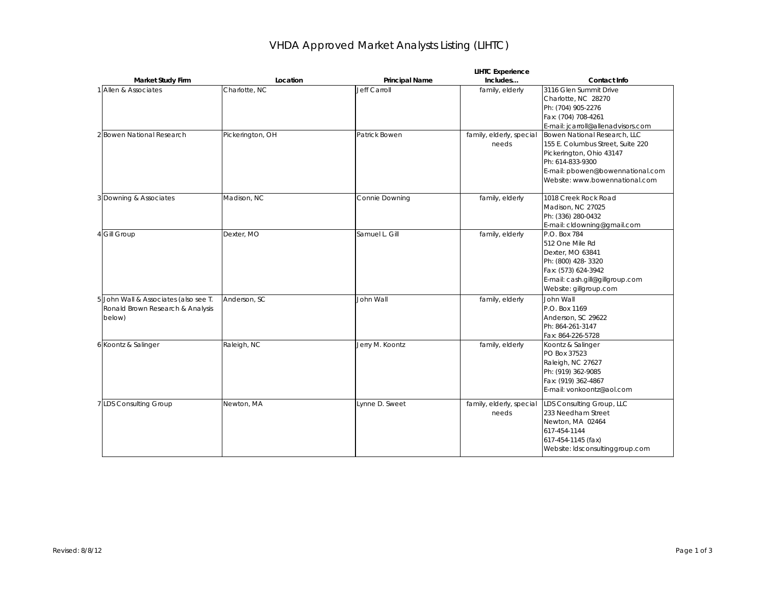## VHDA Approved Market Analysts Listing (LIHTC)

|                                                                                     | <b>LIHTC Experience</b> |                       |                                   |                                                                                                                                                                                         |  |
|-------------------------------------------------------------------------------------|-------------------------|-----------------------|-----------------------------------|-----------------------------------------------------------------------------------------------------------------------------------------------------------------------------------------|--|
| Market Study Firm                                                                   | Location                | <b>Principal Name</b> | Includes                          | Contact Info                                                                                                                                                                            |  |
| 1 Allen & Associates                                                                | Charlotte, NC           | Jeff Carroll          | family, elderly                   | 3116 Glen Summit Drive<br>Charlotte, NC 28270<br>Ph: (704) 905-2276<br>Fax: (704) 708-4261<br>E-mail: jcarroll@allenadvisors.com                                                        |  |
| 2 Bowen National Research                                                           | Pickerington, OH        | Patrick Bowen         | family, elderly, special<br>needs | Bowen National Research, LLC<br>155 E. Columbus Street, Suite 220<br>Pickerington, Ohio 43147<br>Ph: 614-833-9300<br>E-mail: pbowen@bowennational.com<br>Website: www.bowennational.com |  |
| 3 Downing & Associates                                                              | Madison, NC             | Connie Downing        | family, elderly                   | 1018 Creek Rock Road<br>Madison, NC 27025<br>Ph: (336) 280-0432<br>E-mail: cldowning@gmail.com                                                                                          |  |
| 4 Gill Group                                                                        | Dexter, MO              | Samuel L. Gill        | family, elderly                   | P.O. Box 784<br>512 One Mile Rd<br>Dexter, MO 63841<br>Ph: (800) 428-3320<br>Fax: (573) 624-3942<br>E-mail: cash.gill@gillgroup.com<br>Website: gillgroup.com                           |  |
| 5 John Wall & Associates (also see T.<br>Ronald Brown Research & Analysis<br>below) | Anderson, SC            | John Wall             | family, elderly                   | John Wall<br>P.O. Box 1169<br>Anderson, SC 29622<br>Ph: 864-261-3147<br>Fax: 864-226-5728                                                                                               |  |
| 6 Koontz & Salinger                                                                 | Raleigh, NC             | Jerry M. Koontz       | family, elderly                   | Koontz & Salinger<br>PO Box 37523<br>Raleigh, NC 27627<br>Ph: (919) 362-9085<br>Fax: (919) 362-4867<br>E-mail: vonkoontz@aol.com                                                        |  |
| <b>IDS</b> Consulting Group                                                         | Newton, MA              | Lynne D. Sweet        | family, elderly, special<br>needs | LDS Consulting Group, LLC<br>233 Needham Street<br>Newton, MA 02464<br>617-454-1144<br>617-454-1145 (fax)<br>Website: Idsconsultinggroup.com                                            |  |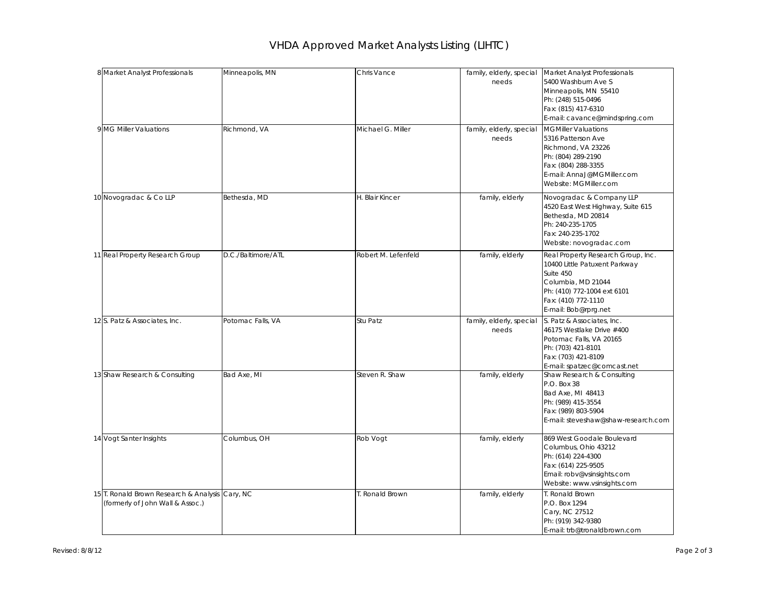## VHDA Approved Market Analysts Listing (LIHTC)

| 8 Market Analyst Professionals                                                      | Minneapolis, MN    | Chris Vance         | needs                             | family, elderly, special Market Analyst Professionals<br>5400 Washburn Ave S<br>Minneapolis, MN 55410<br>Ph: (248) 515-0496<br>Fax: (815) 417-6310<br>E-mail: cavance@mindspring.com |
|-------------------------------------------------------------------------------------|--------------------|---------------------|-----------------------------------|--------------------------------------------------------------------------------------------------------------------------------------------------------------------------------------|
| 9 MG Miller Valuations                                                              | Richmond, VA       | Michael G. Miller   | family, elderly, special<br>needs | <b>MGMiller Valuations</b><br>5316 Patterson Ave<br>Richmond, VA 23226<br>Ph: (804) 289-2190<br>Fax: (804) 288-3355<br>E-mail: AnnaJ@MGMiller.com<br>Website: MGMiller.com           |
| 10 Novogradac & Co LLP                                                              | Bethesda, MD       | H. Blair Kincer     | family, elderly                   | Novogradac & Company LLP<br>4520 East West Highway, Suite 615<br>Bethesda, MD 20814<br>Ph: 240-235-1705<br>Fax: 240-235-1702<br>Website: novogradac.com                              |
| 11 Real Property Research Group                                                     | D.C./Baltimore/ATL | Robert M. Lefenfeld | family, elderly                   | Real Property Research Group, Inc.<br>10400 Little Patuxent Parkway<br>Suite 450<br>Columbia, MD 21044<br>Ph: (410) 772-1004 ext 6101<br>Fax: (410) 772-1110<br>E-mail: Bob@rprg.net |
| 12 S. Patz & Associates, Inc.                                                       | Potomac Falls, VA  | Stu Patz            | family, elderly, special<br>needs | S. Patz & Associates, Inc.<br>46175 Westlake Drive #400<br>Potomac Falls, VA 20165<br>Ph: (703) 421-8101<br>Fax: (703) 421-8109<br>E-mail: spatzec@comcast.net                       |
| 13 Shaw Research & Consulting                                                       | Bad Axe, MI        | Steven R. Shaw      | family, elderly                   | Shaw Research & Consulting<br>P.O. Box 38<br>Bad Axe, MI 48413<br>Ph: (989) 415-3554<br>Fax: (989) 803-5904<br>E-mail: steveshaw@shaw-research.com                                   |
| 14 Vogt Santer Insights                                                             | Columbus, OH       | Rob Vogt            | family, elderly                   | 869 West Goodale Boulevard<br>Columbus, Ohio 43212<br>Ph: (614) 224-4300<br>Fax: (614) 225-9505<br>Email: robv@vsinsights.com<br>Website: www.vsinsights.com                         |
| 15 T. Ronald Brown Research & Analysis Cary, NC<br>(formerly of John Wall & Assoc.) |                    | . Ronald Brown      | family, elderly                   | T. Ronald Brown<br>P.O. Box 1294<br>Cary, NC 27512<br>Ph: (919) 342-9380<br>F-mail: trb@tronaldbrown.com                                                                             |